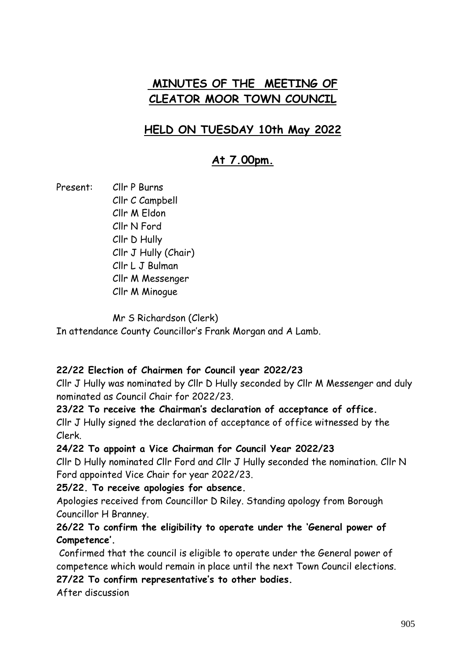# **MINUTES OF THE MEETING OF CLEATOR MOOR TOWN COUNCIL**

## **HELD ON TUESDAY 10th May 2022**

## **At 7.00pm.**

Present: Cllr P Burns Cllr C Campbell Cllr M Eldon Cllr N Ford Cllr D Hully Cllr J Hully (Chair) Cllr L J Bulman Cllr M Messenger Cllr M Minogue

Mr S Richardson (Clerk)

In attendance County Councillor's Frank Morgan and A Lamb.

#### **22/22 Election of Chairmen for Council year 2022/23**

Cllr J Hully was nominated by Cllr D Hully seconded by Cllr M Messenger and duly nominated as Council Chair for 2022/23.

**23/22 To receive the Chairman's declaration of acceptance of office.** Cllr J Hully signed the declaration of acceptance of office witnessed by the Clerk.

**24/22 To appoint a Vice Chairman for Council Year 2022/23**

Cllr D Hully nominated Cllr Ford and Cllr J Hully seconded the nomination. Cllr N Ford appointed Vice Chair for year 2022/23.

**25/22. To receive apologies for absence.** 

Apologies received from Councillor D Riley. Standing apology from Borough Councillor H Branney.

## **26/22 To confirm the eligibility to operate under the 'General power of Competence'.**

Confirmed that the council is eligible to operate under the General power of competence which would remain in place until the next Town Council elections.

**27/22 To confirm representative's to other bodies.** 

After discussion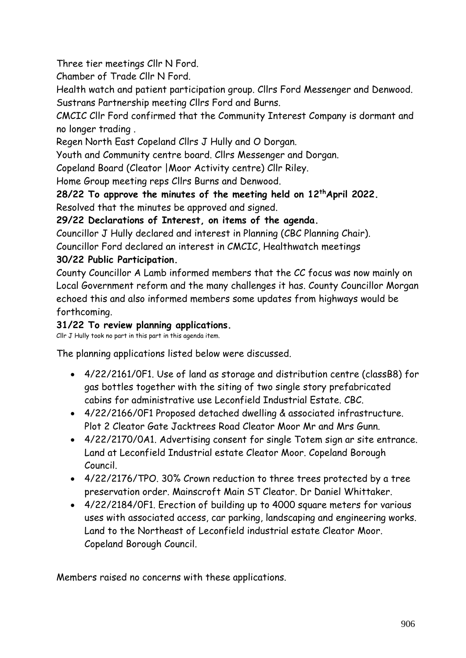Three tier meetings Cllr N Ford.

Chamber of Trade Cllr N Ford.

Health watch and patient participation group. Cllrs Ford Messenger and Denwood. Sustrans Partnership meeting Cllrs Ford and Burns.

CMCIC Cllr Ford confirmed that the Community Interest Company is dormant and no longer trading .

Regen North East Copeland Cllrs J Hully and O Dorgan.

Youth and Community centre board. Cllrs Messenger and Dorgan.

Copeland Board (Cleator |Moor Activity centre) Cllr Riley.

Home Group meeting reps Cllrs Burns and Denwood.

**28/22 To approve the minutes of the meeting held on 12thApril 2022.**  Resolved that the minutes be approved and signed.

## **29/22 Declarations of Interest, on items of the agenda.**

Councillor J Hully declared and interest in Planning (CBC Planning Chair).

Councillor Ford declared an interest in CMCIC, Healthwatch meetings

## **30/22 Public Participation.**

County Councillor A Lamb informed members that the CC focus was now mainly on Local Government reform and the many challenges it has. County Councillor Morgan echoed this and also informed members some updates from highways would be forthcoming.

### **31/22 To review planning applications.**

Cllr J Hully took no part in this part in this agenda item.

The planning applications listed below were discussed.

- 4/22/2161/0F1. Use of land as storage and distribution centre (classB8) for gas bottles together with the siting of two single story prefabricated cabins for administrative use Leconfield Industrial Estate. CBC.
- 4/22/2166/0F1 Proposed detached dwelling & associated infrastructure. Plot 2 Cleator Gate Jacktrees Road Cleator Moor Mr and Mrs Gunn.
- 4/22/2170/0A1. Advertising consent for single Totem sign ar site entrance. Land at Leconfield Industrial estate Cleator Moor. Copeland Borough Council.
- 4/22/2176/TPO. 30% Crown reduction to three trees protected by a tree preservation order. Mainscroft Main ST Cleator. Dr Daniel Whittaker.
- 4/22/2184/0F1. Erection of building up to 4000 square meters for various uses with associated access, car parking, landscaping and engineering works. Land to the Northeast of Leconfield industrial estate Cleator Moor. Copeland Borough Council.

Members raised no concerns with these applications.